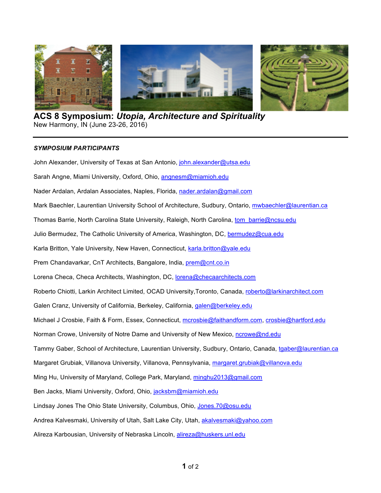

**ACS 8 Symposium:** *Utopia, Architecture and Spirituality* New Harmony, IN (June 23-26, 2016)

## *SYMPOSIUM PARTICIPANTS*

John Alexander, University of Texas at San Antonio, john.alexander@utsa.edu Sarah Angne, Miami University, Oxford, Ohio, angnesm@miamioh.edu Nader Ardalan, Ardalan Associates, Naples, Florida, nader.ardalan@gmail.com Mark Baechler, Laurentian University School of Architecture, Sudbury, Ontario, mwbaechler@laurentian.ca Thomas Barrie, North Carolina State University, Raleigh, North Carolina, tom\_barrie@ncsu.edu Julio Bermudez, The Catholic University of America, Washington, DC, bermudez@cua.edu Karla Britton, Yale University, New Haven, Connecticut, karla.britton@yale.edu Prem Chandavarkar, CnT Architects, Bangalore, India, *prem@cnt.co.in* Lorena Checa, Checa Architects, Washington, DC, lorena@checaarchitects.com Roberto Chiotti, Larkin Architect Limited, OCAD University,Toronto, Canada, roberto@larkinarchitect.com Galen Cranz, University of California, Berkeley, California, galen@berkeley.edu Michael J Crosbie, Faith & Form, Essex, Connecticut, mcrosbie@faithandform.com, crosbie@hartford.edu Norman Crowe, University of Notre Dame and University of New Mexico, ncrowe@nd.edu Tammy Gaber, School of Architecture, Laurentian University, Sudbury, Ontario, Canada, tgaber@laurentian.ca Margaret Grubiak, Villanova University, Villanova, Pennsylvania, margaret.grubiak@villanova.edu Ming Hu, University of Maryland, College Park, Maryland, minghu2013@gmail.com Ben Jacks, Miami University, Oxford, Ohio, jacksbm@miamioh.edu Lindsay Jones The Ohio State University, Columbus, Ohio, Jones.70@osu.edu Andrea Kalvesmaki, University of Utah, Salt Lake City, Utah, akalvesmaki@yahoo.com Alireza Karbousian, University of Nebraska Lincoln, alireza@huskers.unl.edu